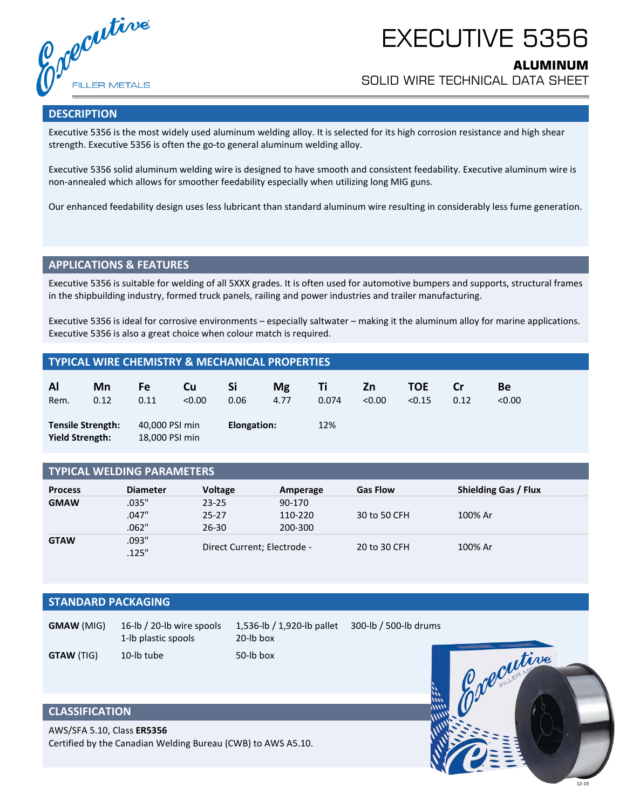Colecutive **FILLER METALS** 

# EXECUTIVE 5356

# **ALUMINUM**

SOLID WIRE TECHNICAL DATA SHEET

#### **DESCRIPTION**

Executive 5356 is the most widely used aluminum welding alloy. It is selected for its high corrosion resistance and high shear strength. Executive 5356 is often the go-to general aluminum welding alloy.

Executive 5356 solid aluminum welding wire is designed to have smooth and consistent feedability. Executive aluminum wire is non-annealed which allows for smoother feedability especially when utilizing long MIG guns.

Our enhanced feedability design uses less lubricant than standard aluminum wire resulting in considerably less fume generation.

#### **APPLICATIONS & FEATURES**

Executive 5356 is suitable for welding of all 5XXX grades. It is often used for automotive bumpers and supports, structural frames in the shipbuilding industry, formed truck panels, railing and power industries and trailer manufacturing.

Executive 5356 is ideal for corrosive environments – especially saltwater – making it the aluminum alloy for marine applications. Executive 5356 is also a great choice when colour match is required.

#### **TYPICAL WIRE CHEMISTRY & MECHANICAL PROPERTIES**

| Al                                                 | Mn   | Fe                               | Cu     | Si          | <b>Mg</b> | Τi    | Zn     | TOE    | Cr   | Be     |
|----------------------------------------------------|------|----------------------------------|--------|-------------|-----------|-------|--------|--------|------|--------|
| Rem.                                               | 0.12 | 0.11                             | < 0.00 | 0.06        | 4.77      | 0.074 | < 0.00 | < 0.15 | 0.12 | < 0.00 |
| <b>Tensile Strength:</b><br><b>Yield Strength:</b> |      | 40,000 PSI min<br>18,000 PSI min |        | Elongation: |           | 12%   |        |        |      |        |

#### **TYPICAL WELDING PARAMETERS**

| <b>Process</b> | <b>Diameter</b> | <b>Voltage</b>              | Amperage | <b>Gas Flow</b> | <b>Shielding Gas / Flux</b> |  |
|----------------|-----------------|-----------------------------|----------|-----------------|-----------------------------|--|
| <b>GMAW</b>    | .035"           | $23 - 25$                   | 90-170   |                 |                             |  |
|                | .047"           | 25-27                       | 110-220  | 30 to 50 CFH    | 100% Ar                     |  |
|                | .062"           | 26-30                       | 200-300  |                 |                             |  |
| <b>GTAW</b>    | .093"           | Direct Current; Electrode - |          | 20 to 30 CFH    | 100% Ar                     |  |
|                | .125"           |                             |          |                 |                             |  |

### **STANDARD PACKAGING**

| <b>GMAW (MIG)</b> | 16-lb / 20-lb wire spools<br>1-lb plastic spools | 1,536-lb / 1,920-lb pallet<br>20-lb box | 300-lb / 500-lb drums |  |  |
|-------------------|--------------------------------------------------|-----------------------------------------|-----------------------|--|--|
| <b>GTAW (TIG)</b> | 10-lb tube                                       | 50-lb box                               |                       |  |  |

## **CLASSIFICATION**

AWS/SFA 5.10, Class **ER5356** Certified by the Canadian Welding Bureau (CWB) to AWS A5.10.